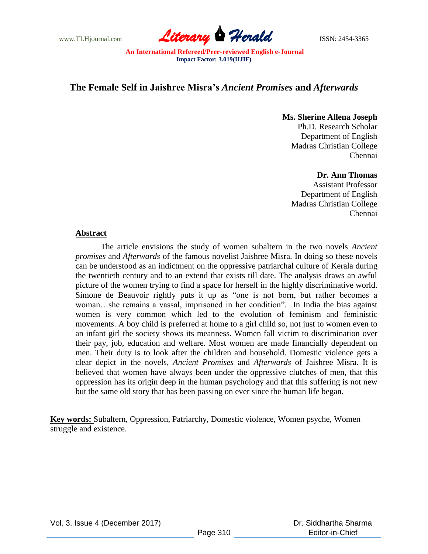

# **The Female Self in Jaishree Misra's** *Ancient Promises* **and** *Afterwards*

**Ms. Sherine Allena Joseph** Ph.D. Research Scholar Department of English Madras Christian College Chennai

**Dr. Ann Thomas**

Assistant Professor Department of English Madras Christian College Chennai

#### **Abstract**

The article envisions the study of women subaltern in the two novels *Ancient promises* and *Afterwards* of the famous novelist Jaishree Misra. In doing so these novels can be understood as an indictment on the oppressive patriarchal culture of Kerala during the twentieth century and to an extend that exists till date. The analysis draws an awful picture of the women trying to find a space for herself in the highly discriminative world. Simone de Beauvoir rightly puts it up as "one is not born, but rather becomes a woman…she remains a vassal, imprisoned in her condition". In India the bias against women is very common which led to the evolution of feminism and feministic movements. A boy child is preferred at home to a girl child so, not just to women even to an infant girl the society shows its meanness. Women fall victim to discrimination over their pay, job, education and welfare. Most women are made financially dependent on men. Their duty is to look after the children and household. Domestic violence gets a clear depict in the novels, *Ancient Promises* and *Afterwards* of Jaishree Misra. It is believed that women have always been under the oppressive clutches of men, that this oppression has its origin deep in the human psychology and that this suffering is not new but the same old story that has been passing on ever since the human life began.

**Key words:** Subaltern, Oppression, Patriarchy, Domestic violence, Women psyche, Women struggle and existence.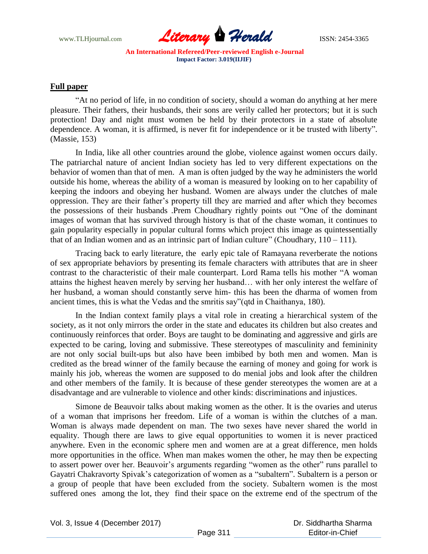

#### **Full paper**

"At no period of life, in no condition of society, should a woman do anything at her mere pleasure. Their fathers, their husbands, their sons are verily called her protectors; but it is such protection! Day and night must women be held by their protectors in a state of absolute dependence. A woman, it is affirmed, is never fit for independence or it be trusted with liberty". (Massie, 153)

In India, like all other countries around the globe, violence against women occurs daily. The patriarchal nature of ancient Indian society has led to very different expectations on the behavior of women than that of men. A man is often judged by the way he administers the world outside his home, whereas the ability of a woman is measured by looking on to her capability of keeping the indoors and obeying her husband. Women are always under the clutches of male oppression. They are their father"s property till they are married and after which they becomes the possessions of their husbands .Prem Choudhary rightly points out "One of the dominant images of woman that has survived through history is that of the chaste woman, it continues to gain popularity especially in popular cultural forms which project this image as quintessentially that of an Indian women and as an intrinsic part of Indian culture" (Choudhary,  $110 - 111$ ).

Tracing back to early literature, the early epic tale of Ramayana reverberate the notions of sex appropriate behaviors by presenting its female characters with attributes that are in sheer contrast to the characteristic of their male counterpart. Lord Rama tells his mother "A woman attains the highest heaven merely by serving her husband… with her only interest the welfare of her husband, a woman should constantly serve him- this has been the dharma of women from ancient times, this is what the Vedas and the smritis say"(qtd in Chaithanya, 180).

In the Indian context family plays a vital role in creating a hierarchical system of the society, as it not only mirrors the order in the state and educates its children but also creates and continuously reinforces that order. Boys are taught to be dominating and aggressive and girls are expected to be caring, loving and submissive. These stereotypes of masculinity and femininity are not only social built-ups but also have been imbibed by both men and women. Man is credited as the bread winner of the family because the earning of money and going for work is mainly his job, whereas the women are supposed to do menial jobs and look after the children and other members of the family. It is because of these gender stereotypes the women are at a disadvantage and are vulnerable to violence and other kinds: discriminations and injustices.

Simone de Beauvoir talks about making women as the other. It is the ovaries and uterus of a woman that imprisons her freedom. Life of a woman is within the clutches of a man. Woman is always made dependent on man. The two sexes have never shared the world in equality. Though there are laws to give equal opportunities to women it is never practiced anywhere. Even in the economic sphere men and women are at a great difference, men holds more opportunities in the office. When man makes women the other, he may then be expecting to assert power over her. Beauvoir's arguments regarding "women as the other" runs parallel to Gayatri Chakravorty Spivak"s categorization of women as a "subaltern". Subaltern is a person or a group of people that have been excluded from the society. Subaltern women is the most suffered ones among the lot, they find their space on the extreme end of the spectrum of the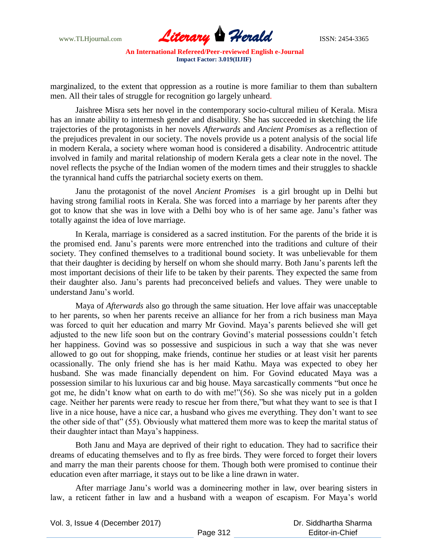

marginalized, to the extent that oppression as a routine is more familiar to them than subaltern men. All their tales of struggle for recognition go largely unheard.

Jaishree Misra sets her novel in the contemporary socio-cultural milieu of Kerala. Misra has an innate ability to intermesh gender and disability. She has succeeded in sketching the life trajectories of the protagonists in her novels *Afterwards* and *Ancient Promises* as a reflection of the prejudices prevalent in our society. The novels provide us a potent analysis of the social life in modern Kerala, a society where woman hood is considered a disability. Androcentric attitude involved in family and marital relationship of modern Kerala gets a clear note in the novel. The novel reflects the psyche of the Indian women of the modern times and their struggles to shackle the tyrannical hand cuffs the patriarchal society exerts on them.

Janu the protagonist of the novel *Ancient Promises* is a girl brought up in Delhi but having strong familial roots in Kerala. She was forced into a marriage by her parents after they got to know that she was in love with a Delhi boy who is of her same age. Janu"s father was totally against the idea of love marriage.

In Kerala, marriage is considered as a sacred institution. For the parents of the bride it is the promised end. Janu"s parents were more entrenched into the traditions and culture of their society. They confined themselves to a traditional bound society. It was unbelievable for them that their daughter is deciding by herself on whom she should marry. Both Janu"s parents left the most important decisions of their life to be taken by their parents. They expected the same from their daughter also. Janu"s parents had preconceived beliefs and values. They were unable to understand Janu"s world.

Maya of *Afterwards* also go through the same situation. Her love affair was unacceptable to her parents, so when her parents receive an alliance for her from a rich business man Maya was forced to quit her education and marry Mr Govind. Maya"s parents believed she will get adjusted to the new life soon but on the contrary Govind's material possessions couldn't fetch her happiness. Govind was so possessive and suspicious in such a way that she was never allowed to go out for shopping, make friends, continue her studies or at least visit her parents ocassionally. The only friend she has is her maid Kathu. Maya was expected to obey her husband. She was made financially dependent on him. For Govind educated Maya was a possession similar to his luxurious car and big house. Maya sarcastically comments "but once he got me, he didn"t know what on earth to do with me!"(56). So she was nicely put in a golden cage. Neither her parents were ready to rescue her from there,"but what they want to see is that I live in a nice house, have a nice car, a husband who gives me everything. They don"t want to see the other side of that" (55). Obviously what mattered them more was to keep the marital status of their daughter intact than Maya"s happiness.

Both Janu and Maya are deprived of their right to education. They had to sacrifice their dreams of educating themselves and to fly as free birds. They were forced to forget their lovers and marry the man their parents choose for them. Though both were promised to continue their education even after marriage, it stays out to be like a line drawn in water.

After marriage Janu"s world was a domineering mother in law, over bearing sisters in law, a reticent father in law and a husband with a weapon of escapism. For Maya"s world

| Vol. 3, Issue 4 (December 2017) |          | Dr. Siddhartha Sharma |
|---------------------------------|----------|-----------------------|
|                                 | Page 312 | Editor-in-Chief       |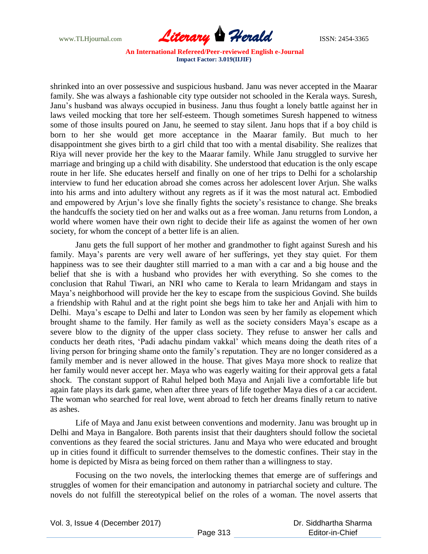

shrinked into an over possessive and suspicious husband. Janu was never accepted in the Maarar family. She was always a fashionable city type outsider not schooled in the Kerala ways. Suresh, Janu"s husband was always occupied in business. Janu thus fought a lonely battle against her in laws veiled mocking that tore her self-esteem. Though sometimes Suresh happened to witness some of those insults poured on Janu, he seemed to stay silent. Janu hops that if a boy child is born to her she would get more acceptance in the Maarar family. But much to her disappointment she gives birth to a girl child that too with a mental disability. She realizes that Riya will never provide her the key to the Maarar family. While Janu struggled to survive her marriage and bringing up a child with disability. She understood that education is the only escape route in her life. She educates herself and finally on one of her trips to Delhi for a scholarship interview to fund her education abroad she comes across her adolescent lover Arjun. She walks into his arms and into adultery without any regrets as if it was the most natural act. Embodied and empowered by Arjun"s love she finally fights the society"s resistance to change. She breaks the handcuffs the society tied on her and walks out as a free woman. Janu returns from London, a world where women have their own right to decide their life as against the women of her own society, for whom the concept of a better life is an alien.

Janu gets the full support of her mother and grandmother to fight against Suresh and his family. Maya's parents are very well aware of her sufferings, yet they stay quiet. For them happiness was to see their daughter still married to a man with a car and a big house and the belief that she is with a husband who provides her with everything. So she comes to the conclusion that Rahul Tiwari, an NRI who came to Kerala to learn Mridangam and stays in Maya"s neighborhood will provide her the key to escape from the suspicious Govind. She builds a friendship with Rahul and at the right point she begs him to take her and Anjali with him to Delhi. Maya"s escape to Delhi and later to London was seen by her family as elopement which brought shame to the family. Her family as well as the society considers Maya"s escape as a severe blow to the dignity of the upper class society. They refuse to answer her calls and conducts her death rites, "Padi adachu pindam vakkal" which means doing the death rites of a living person for bringing shame onto the family's reputation. They are no longer considered as a family member and is never allowed in the house. That gives Maya more shock to realize that her family would never accept her. Maya who was eagerly waiting for their approval gets a fatal shock. The constant support of Rahul helped both Maya and Anjali live a comfortable life but again fate plays its dark game, when after three years of life together Maya dies of a car accident. The woman who searched for real love, went abroad to fetch her dreams finally return to native as ashes.

Life of Maya and Janu exist between conventions and modernity. Janu was brought up in Delhi and Maya in Bangalore. Both parents insist that their daughters should follow the societal conventions as they feared the social strictures. Janu and Maya who were educated and brought up in cities found it difficult to surrender themselves to the domestic confines. Their stay in the home is depicted by Misra as being forced on them rather than a willingness to stay.

Focusing on the two novels, the interlocking themes that emerge are of sufferings and struggles of women for their emancipation and autonomy in patriarchal society and culture. The novels do not fulfill the stereotypical belief on the roles of a woman. The novel asserts that

Vol. 3, Issue 4 (December 2017)

 Dr. Siddhartha Sharma Editor-in-Chief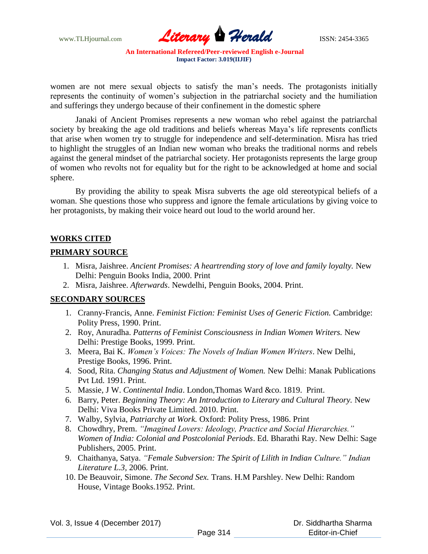www.TLHjournal.com **Literary Perald Herald ISSN: 2454-3365** 

women are not mere sexual objects to satisfy the man"s needs. The protagonists initially represents the continuity of women"s subjection in the patriarchal society and the humiliation and sufferings they undergo because of their confinement in the domestic sphere

Janaki of Ancient Promises represents a new woman who rebel against the patriarchal society by breaking the age old traditions and beliefs whereas Maya"s life represents conflicts that arise when women try to struggle for independence and self-determination. Misra has tried to highlight the struggles of an Indian new woman who breaks the traditional norms and rebels against the general mindset of the patriarchal society. Her protagonists represents the large group of women who revolts not for equality but for the right to be acknowledged at home and social sphere.

By providing the ability to speak Misra subverts the age old stereotypical beliefs of a woman. She questions those who suppress and ignore the female articulations by giving voice to her protagonists, by making their voice heard out loud to the world around her.

## **WORKS CITED**

## **PRIMARY SOURCE**

- 1. Misra, Jaishree. *Ancient Promises: A heartrending story of love and family loyalty.* New Delhi: Penguin Books India, 2000. Print
- 2. Misra, Jaishree. *Afterwards*. Newdelhi, Penguin Books, 2004. Print.

## **SECONDARY SOURCES**

- 1. Cranny-Francis, Anne. *Feminist Fiction: Feminist Uses of Generic Fiction.* Cambridge: Polity Press, 1990. Print.
- 2. Roy, Anuradha. *Patterns of Feminist Consciousness in Indian Women Writers.* New Delhi: Prestige Books, 1999. Print.
- 3. Meera, Bai K. *Women's Voices: The Novels of Indian Women Writers*. New Delhi, Prestige Books, 1996. Print.
- 4. Sood, Rita. *Changing Status and Adjustment of Women.* New Delhi: Manak Publications Pvt Ltd. 1991. Print.
- 5. Massie, J W. *Continental India*. London,Thomas Ward &co. 1819. Print.
- 6. Barry, Peter. *Beginning Theory: An Introduction to Literary and Cultural Theory.* New Delhi: Viva Books Private Limited. 2010. Print.
- 7. Walby, Sylvia, *Patriarchy at Work.* Oxford: Polity Press, 1986. Print
- 8. Chowdhry, Prem. *"Imagined Lovers: Ideology, Practice and Social Hierarchies." Women of India: Colonial and Postcolonial Periods*. Ed. Bharathi Ray. New Delhi: Sage Publishers, 2005. Print.
- 9. Chaithanya, Satya. *"Female Subversion: The Spirit of Lilith in Indian Culture." Indian Literature L.3,* 2006. Print.
- 10. De Beauvoir, Simone. *The Second Sex.* Trans. H.M Parshley. New Delhi: Random House, Vintage Books.1952. Print.